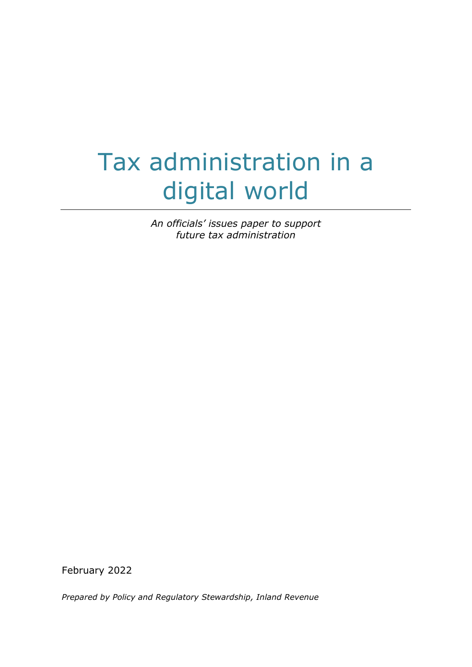# Tax administration in a digital world

*An officials' issues paper to support future tax administration*

February 2022

*Prepared by Policy and Regulatory Stewardship, Inland Revenue*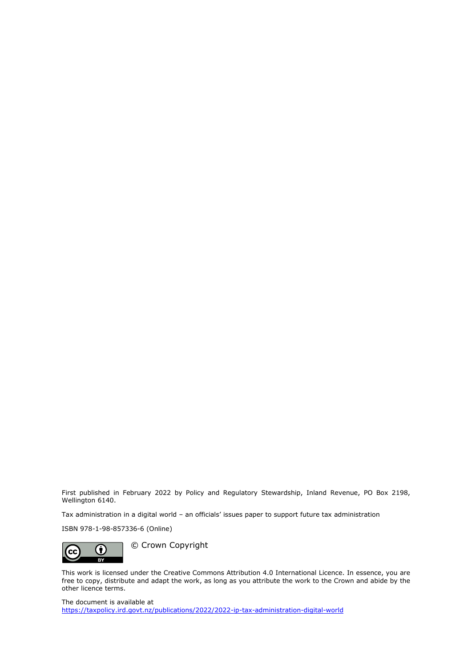First published in February 2022 by Policy and Regulatory Stewardship, Inland Revenue, PO Box 2198, Wellington 6140.

Tax administration in a digital world – an officials' issues paper to support future tax administration

ISBN 978-1-98-857336-6 (Online)



© Crown Copyright

This work is licensed under the Creative Commons Attribution 4.0 International Licence. In essence, you are free to copy, distribute and adapt the work, as long as you attribute the work to the Crown and abide by the other licence terms.

The document is available at <https://taxpolicy.ird.govt.nz/publications/2022/2022-ip-tax-administration-digital-world>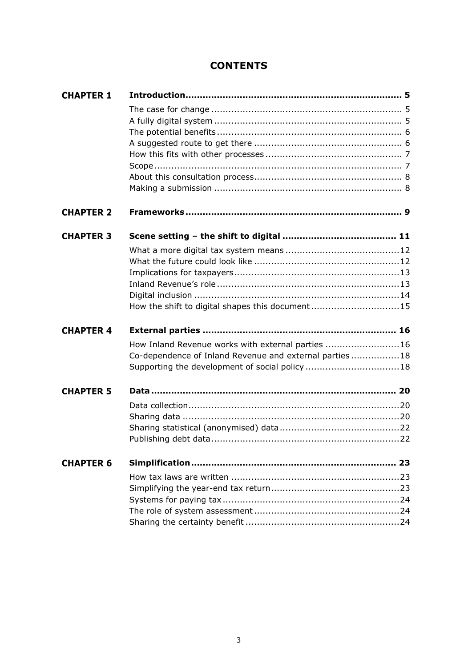# **CONTENTS**

| <b>CHAPTER 1</b> |                                                         |
|------------------|---------------------------------------------------------|
|                  |                                                         |
|                  |                                                         |
|                  |                                                         |
|                  |                                                         |
|                  |                                                         |
|                  |                                                         |
|                  |                                                         |
| <b>CHAPTER 2</b> |                                                         |
| <b>CHAPTER 3</b> |                                                         |
|                  |                                                         |
|                  |                                                         |
|                  |                                                         |
|                  |                                                         |
|                  |                                                         |
|                  | How the shift to digital shapes this document15         |
| <b>CHAPTER 4</b> |                                                         |
|                  | How Inland Revenue works with external parties 16       |
|                  | Co-dependence of Inland Revenue and external parties 18 |
|                  |                                                         |
| <b>CHAPTER 5</b> |                                                         |
|                  |                                                         |
|                  |                                                         |
|                  |                                                         |
|                  |                                                         |
| <b>CHAPTER 6</b> | 23                                                      |
|                  |                                                         |
|                  |                                                         |
|                  |                                                         |
|                  |                                                         |
|                  |                                                         |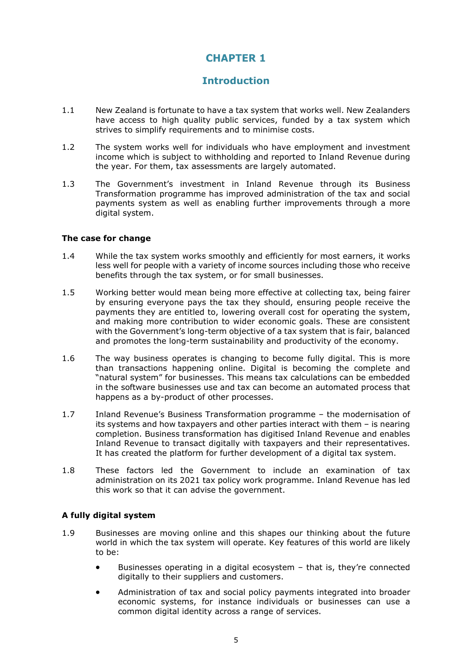## **Introduction**

- <span id="page-4-0"></span>1.1 New Zealand is fortunate to have a tax system that works well. New Zealanders have access to high quality public services, funded by a tax system which strives to simplify requirements and to minimise costs.
- 1.2 The system works well for individuals who have employment and investment income which is subject to withholding and reported to Inland Revenue during the year. For them, tax assessments are largely automated.
- 1.3 The Government's investment in Inland Revenue through its Business Transformation programme has improved administration of the tax and social payments system as well as enabling further improvements through a more digital system.

#### <span id="page-4-1"></span>**The case for change**

- 1.4 While the tax system works smoothly and efficiently for most earners, it works less well for people with a variety of income sources including those who receive benefits through the tax system, or for small businesses.
- 1.5 Working better would mean being more effective at collecting tax, being fairer by ensuring everyone pays the tax they should, ensuring people receive the payments they are entitled to, lowering overall cost for operating the system, and making more contribution to wider economic goals. These are consistent with the Government's long-term objective of a tax system that is fair, balanced and promotes the long-term sustainability and productivity of the economy.
- 1.6 The way business operates is changing to become fully digital. This is more than transactions happening online. Digital is becoming the complete and "natural system" for businesses. This means tax calculations can be embedded in the software businesses use and tax can become an automated process that happens as a by-product of other processes.
- 1.7 Inland Revenue's Business Transformation programme the modernisation of its systems and how taxpayers and other parties interact with them – is nearing completion. Business transformation has digitised Inland Revenue and enables Inland Revenue to transact digitally with taxpayers and their representatives. It has created the platform for further development of a digital tax system.
- 1.8 These factors led the Government to include an examination of tax administration on its 2021 tax policy work programme. Inland Revenue has led this work so that it can advise the government.

## <span id="page-4-2"></span>**A fully digital system**

- 1.9 Businesses are moving online and this shapes our thinking about the future world in which the tax system will operate. Key features of this world are likely to be:
	- Businesses operating in a digital ecosystem that is, they're connected digitally to their suppliers and customers.
	- Administration of tax and social policy payments integrated into broader economic systems, for instance individuals or businesses can use a common digital identity across a range of services.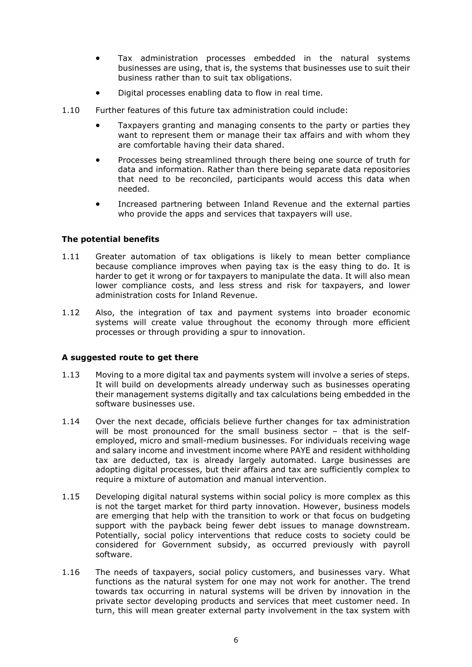- Tax administration processes embedded in the natural systems businesses are using, that is, the systems that businesses use to suit their business rather than to suit tax obligations.
- Digital processes enabling data to flow in real time.
- 1.10 Further features of this future tax administration could include:
	- Taxpayers granting and managing consents to the party or parties they want to represent them or manage their tax affairs and with whom they are comfortable having their data shared.
	- Processes being streamlined through there being one source of truth for data and information. Rather than there being separate data repositories that need to be reconciled, participants would access this data when needed.
	- Increased partnering between Inland Revenue and the external parties who provide the apps and services that taxpayers will use.

#### <span id="page-5-0"></span>**The potential benefits**

- 1.11 Greater automation of tax obligations is likely to mean better compliance because compliance improves when paying tax is the easy thing to do. It is harder to get it wrong or for taxpayers to manipulate the data. It will also mean lower compliance costs, and less stress and risk for taxpayers, and lower administration costs for Inland Revenue.
- 1.12 Also, the integration of tax and payment systems into broader economic systems will create value throughout the economy through more efficient processes or through providing a spur to innovation.

#### <span id="page-5-1"></span>**A suggested route to get there**

- 1.13 Moving to a more digital tax and payments system will involve a series of steps. It will build on developments already underway such as businesses operating their management systems digitally and tax calculations being embedded in the software businesses use.
- 1.14 Over the next decade, officials believe further changes for tax administration will be most pronounced for the small business sector – that is the selfemployed, micro and small-medium businesses. For individuals receiving wage and salary income and investment income where PAYE and resident withholding tax are deducted, tax is already largely automated. Large businesses are adopting digital processes, but their affairs and tax are sufficiently complex to require a mixture of automation and manual intervention.
- 1.15 Developing digital natural systems within social policy is more complex as this is not the target market for third party innovation. However, business models are emerging that help with the transition to work or that focus on budgeting support with the payback being fewer debt issues to manage downstream. Potentially, social policy interventions that reduce costs to society could be considered for Government subsidy, as occurred previously with payroll software.
- 1.16 The needs of taxpayers, social policy customers, and businesses vary. What functions as the natural system for one may not work for another. The trend towards tax occurring in natural systems will be driven by innovation in the private sector developing products and services that meet customer need. In turn, this will mean greater external party involvement in the tax system with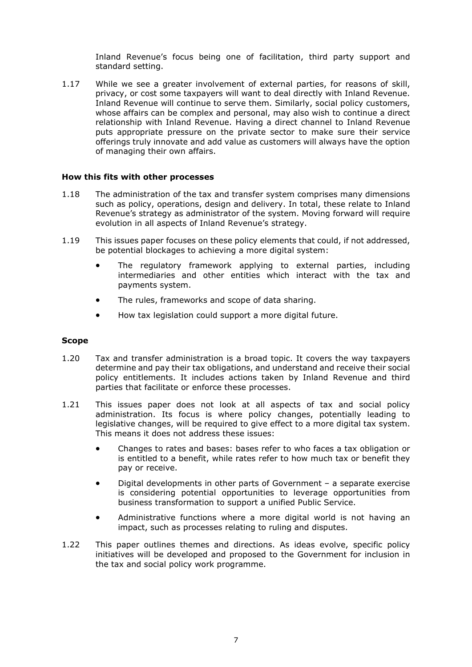Inland Revenue's focus being one of facilitation, third party support and standard setting.

1.17 While we see a greater involvement of external parties, for reasons of skill, privacy, or cost some taxpayers will want to deal directly with Inland Revenue. Inland Revenue will continue to serve them. Similarly, social policy customers, whose affairs can be complex and personal, may also wish to continue a direct relationship with Inland Revenue. Having a direct channel to Inland Revenue puts appropriate pressure on the private sector to make sure their service offerings truly innovate and add value as customers will always have the option of managing their own affairs.

#### <span id="page-6-0"></span>**How this fits with other processes**

- 1.18 The administration of the tax and transfer system comprises many dimensions such as policy, operations, design and delivery. In total, these relate to Inland Revenue's strategy as administrator of the system. Moving forward will require evolution in all aspects of Inland Revenue's strategy.
- 1.19 This issues paper focuses on these policy elements that could, if not addressed, be potential blockages to achieving a more digital system:
	- The regulatory framework applying to external parties, including intermediaries and other entities which interact with the tax and payments system.
	- The rules, frameworks and scope of data sharing.
	- How tax legislation could support a more digital future.

#### <span id="page-6-1"></span>**Scope**

- 1.20 Tax and transfer administration is a broad topic. It covers the way taxpayers determine and pay their tax obligations, and understand and receive their social policy entitlements. It includes actions taken by Inland Revenue and third parties that facilitate or enforce these processes.
- 1.21 This issues paper does not look at all aspects of tax and social policy administration. Its focus is where policy changes, potentially leading to legislative changes, will be required to give effect to a more digital tax system. This means it does not address these issues:
	- Changes to rates and bases: bases refer to who faces a tax obligation or is entitled to a benefit, while rates refer to how much tax or benefit they pay or receive.
	- Digital developments in other parts of Government a separate exercise is considering potential opportunities to leverage opportunities from business transformation to support a unified Public Service.
	- Administrative functions where a more digital world is not having an impact, such as processes relating to ruling and disputes.
- 1.22 This paper outlines themes and directions. As ideas evolve, specific policy initiatives will be developed and proposed to the Government for inclusion in the tax and social policy work programme.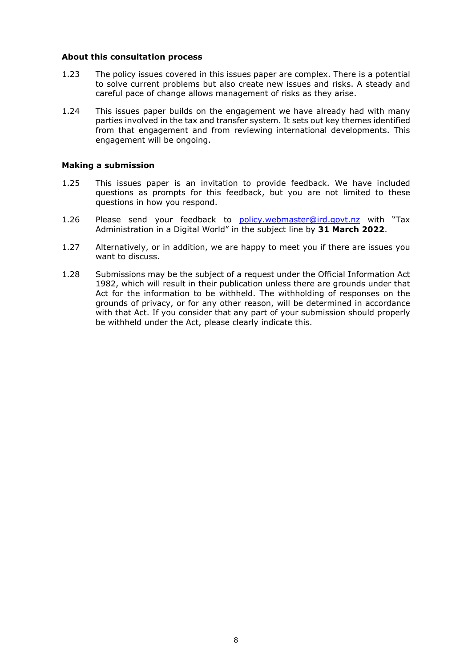#### <span id="page-7-0"></span>**About this consultation process**

- 1.23 The policy issues covered in this issues paper are complex. There is a potential to solve current problems but also create new issues and risks. A steady and careful pace of change allows management of risks as they arise.
- 1.24 This issues paper builds on the engagement we have already had with many parties involved in the tax and transfer system. It sets out key themes identified from that engagement and from reviewing international developments. This engagement will be ongoing.

#### <span id="page-7-1"></span>**Making a submission**

- 1.25 This issues paper is an invitation to provide feedback. We have included questions as prompts for this feedback, but you are not limited to these questions in how you respond.
- 1.26 Please send your feedback to [policy.webmaster@ird.govt.nz](mailto:policy.webmaster@ird.govt.nz) with "Tax Administration in a Digital World" in the subject line by **31 March 2022**.
- 1.27 Alternatively, or in addition, we are happy to meet you if there are issues you want to discuss.
- 1.28 Submissions may be the subject of a request under the Official Information Act 1982, which will result in their publication unless there are grounds under that Act for the information to be withheld. The withholding of responses on the grounds of privacy, or for any other reason, will be determined in accordance with that Act. If you consider that any part of your submission should properly be withheld under the Act, please clearly indicate this.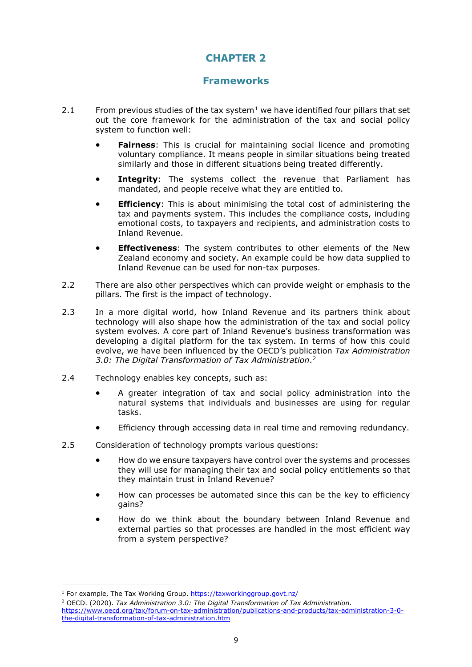## **Frameworks**

- <span id="page-8-0"></span>2.[1](#page-8-1) From previous studies of the tax system<sup>1</sup> we have identified four pillars that set out the core framework for the administration of the tax and social policy system to function well:
	- **Fairness**: This is crucial for maintaining social licence and promoting voluntary compliance. It means people in similar situations being treated similarly and those in different situations being treated differently.
	- **Integrity**: The systems collect the revenue that Parliament has mandated, and people receive what they are entitled to.
	- **Efficiency**: This is about minimising the total cost of administering the tax and payments system. This includes the compliance costs, including emotional costs, to taxpayers and recipients, and administration costs to Inland Revenue.
	- **Effectiveness**: The system contributes to other elements of the New Zealand economy and society. An example could be how data supplied to Inland Revenue can be used for non-tax purposes.
- 2.2 There are also other perspectives which can provide weight or emphasis to the pillars. The first is the impact of technology.
- 2.3 In a more digital world, how Inland Revenue and its partners think about technology will also shape how the administration of the tax and social policy system evolves. A core part of Inland Revenue's business transformation was developing a digital platform for the tax system. In terms of how this could evolve, we have been influenced by the OECD's publication *Tax Administration 3.0: The Digital Transformation of Tax Administration*.[2](#page-8-2)
- 2.4 Technology enables key concepts, such as:
	- A greater integration of tax and social policy administration into the natural systems that individuals and businesses are using for regular tasks.
	- Efficiency through accessing data in real time and removing redundancy.
- 2.5 Consideration of technology prompts various questions:
	- How do we ensure taxpayers have control over the systems and processes they will use for managing their tax and social policy entitlements so that they maintain trust in Inland Revenue?
	- How can processes be automated since this can be the key to efficiency gains?
	- How do we think about the boundary between Inland Revenue and external parties so that processes are handled in the most efficient way from a system perspective?

<span id="page-8-1"></span><sup>1</sup> For example, The Tax Working Group. <https://taxworkinggroup.govt.nz/>

<span id="page-8-2"></span><sup>2</sup> OECD. (2020). *Tax Administration 3.0: The Digital Transformation of Tax Administration*. [https://www.oecd.org/tax/forum-on-tax-administration/publications-and-products/tax-administration-3-0](https://www.oecd.org/tax/forum-on-tax-administration/publications-and-products/tax-administration-3-0-the-digital-transformation-of-tax-administration.htm) [the-digital-transformation-of-tax-administration.htm](https://www.oecd.org/tax/forum-on-tax-administration/publications-and-products/tax-administration-3-0-the-digital-transformation-of-tax-administration.htm)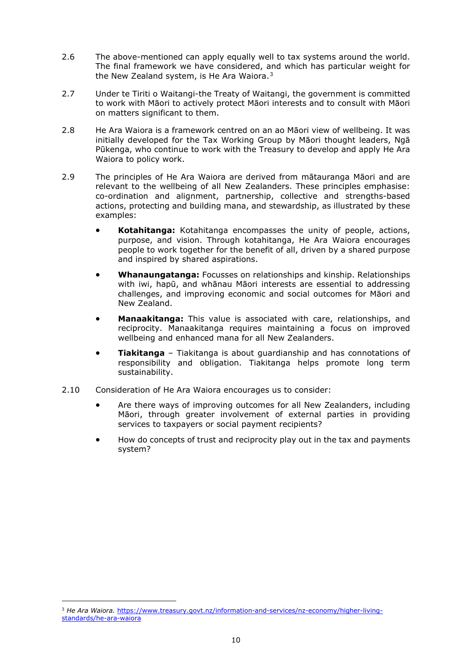- 2.6 The above-mentioned can apply equally well to tax systems around the world. The final framework we have considered, and which has particular weight for the New Zealand system, is He Ara Waiora. $3$
- 2.7 Under te Tiriti o Waitangi-the Treaty of Waitangi, the government is committed to work with Māori to actively protect Māori interests and to consult with Māori on matters significant to them.
- 2.8 He Ara Waiora is a framework centred on an ao Māori view of wellbeing. It was initially developed for the Tax Working Group by Māori thought leaders, Ngā Pūkenga, who continue to work with the Treasury to develop and apply He Ara Waiora to policy work.
- 2.9 The principles of He Ara Waiora are derived from mātauranga Māori and are relevant to the wellbeing of all New Zealanders. These principles emphasise: co-ordination and alignment, partnership, collective and strengths-based actions, protecting and building mana, and stewardship, as illustrated by these examples:
	- **Kotahitanga:** Kotahitanga encompasses the unity of people, actions, purpose, and vision. Through kotahitanga, He Ara Waiora encourages people to work together for the benefit of all, driven by a shared purpose and inspired by shared aspirations.
	- **Whanaungatanga:** Focusses on relationships and kinship. Relationships with iwi, hapū, and whānau Māori interests are essential to addressing challenges, and improving economic and social outcomes for Māori and New Zealand.
	- **Manaakitanga:** This value is associated with care, relationships, and reciprocity. Manaakitanga requires maintaining a focus on improved wellbeing and enhanced mana for all New Zealanders.
	- **Tiakitanga** Tiakitanga is about guardianship and has connotations of responsibility and obligation. Tiakitanga helps promote long term sustainability.
- 2.10 Consideration of He Ara Waiora encourages us to consider:
	- Are there ways of improving outcomes for all New Zealanders, including Māori, through greater involvement of external parties in providing services to taxpayers or social payment recipients?
	- How do concepts of trust and reciprocity play out in the tax and payments system?

<span id="page-9-0"></span><sup>&</sup>lt;sup>3</sup> He Ara Waiora. [https://www.treasury.govt.nz/information-and-services/nz-economy/higher-living](https://www.treasury.govt.nz/information-and-services/nz-economy/higher-living-standards/he-ara-waiora)[standards/he-ara-waiora](https://www.treasury.govt.nz/information-and-services/nz-economy/higher-living-standards/he-ara-waiora)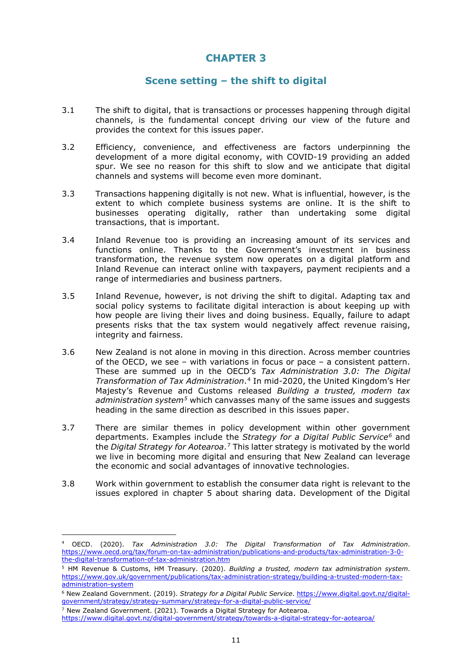## **Scene setting – the shift to digital**

- <span id="page-10-0"></span>3.1 The shift to digital, that is transactions or processes happening through digital channels, is the fundamental concept driving our view of the future and provides the context for this issues paper.
- 3.2 Efficiency, convenience, and effectiveness are factors underpinning the development of a more digital economy, with COVID-19 providing an added spur. We see no reason for this shift to slow and we anticipate that digital channels and systems will become even more dominant.
- 3.3 Transactions happening digitally is not new. What is influential, however, is the extent to which complete business systems are online. It is the shift to businesses operating digitally, rather than undertaking some digital transactions, that is important.
- 3.4 Inland Revenue too is providing an increasing amount of its services and functions online. Thanks to the Government's investment in business transformation, the revenue system now operates on a digital platform and Inland Revenue can interact online with taxpayers, payment recipients and a range of intermediaries and business partners.
- 3.5 Inland Revenue, however, is not driving the shift to digital. Adapting tax and social policy systems to facilitate digital interaction is about keeping up with how people are living their lives and doing business. Equally, failure to adapt presents risks that the tax system would negatively affect revenue raising, integrity and fairness.
- 3.6 New Zealand is not alone in moving in this direction. Across member countries of the OECD, we see – with variations in focus or pace – a consistent pattern. These are summed up in the OECD's *Tax Administration 3.0: The Digital Transformation of Tax Administration*.[4](#page-10-1) In mid-2020, the United Kingdom's Her Majesty's Revenue and Customs released *Building a trusted, modern tax administration system[5](#page-10-2)* which canvasses many of the same issues and suggests heading in the same direction as described in this issues paper.
- 3.7 There are similar themes in policy development within other government departments. Examples include the *Strategy for a Digital Public Service[6](#page-10-3)* and the *Digital Strategy for Aotearoa*.[7](#page-10-4) This latter strategy is motivated by the world we live in becoming more digital and ensuring that New Zealand can leverage the economic and social advantages of innovative technologies.
- 3.8 Work within government to establish the consumer data right is relevant to the issues explored in chapter 5 about sharing data. Development of the Digital

<span id="page-10-1"></span><sup>4</sup> OECD. (2020). *Tax Administration 3.0: The Digital Transformation of Tax Administration*. [https://www.oecd.org/tax/forum-on-tax-administration/publications-and-products/tax-administration-3-0](https://www.oecd.org/tax/forum-on-tax-administration/publications-and-products/tax-administration-3-0-the-digital-transformation-of-tax-administration.htm) [the-digital-transformation-of-tax-administration.htm](https://www.oecd.org/tax/forum-on-tax-administration/publications-and-products/tax-administration-3-0-the-digital-transformation-of-tax-administration.htm)

<span id="page-10-2"></span><sup>5</sup> HM Revenue & Customs, HM Treasury. (2020). *Building a trusted, modern tax administration system*. [https://www.gov.uk/government/publications/tax-administration-strategy/building-a-trusted-modern-tax](https://www.gov.uk/government/publications/tax-administration-strategy/building-a-trusted-modern-tax-administration-system)[administration-system](https://www.gov.uk/government/publications/tax-administration-strategy/building-a-trusted-modern-tax-administration-system)

<span id="page-10-3"></span><sup>6</sup> New Zealand Government. (2019). *Strategy for a Digital Public Service*. [https://www.digital.govt.nz/digital](https://www.digital.govt.nz/digital-government/strategy/strategy-summary/strategy-for-a-digital-public-service/)[government/strategy/strategy-summary/strategy-for-a-digital-public-service/](https://www.digital.govt.nz/digital-government/strategy/strategy-summary/strategy-for-a-digital-public-service/)

 $7$  New Zealand Government. (2021). Towards a Digital Strategy for Aotearoa.

<span id="page-10-4"></span><https://www.digital.govt.nz/digital-government/strategy/towards-a-digital-strategy-for-aotearoa/>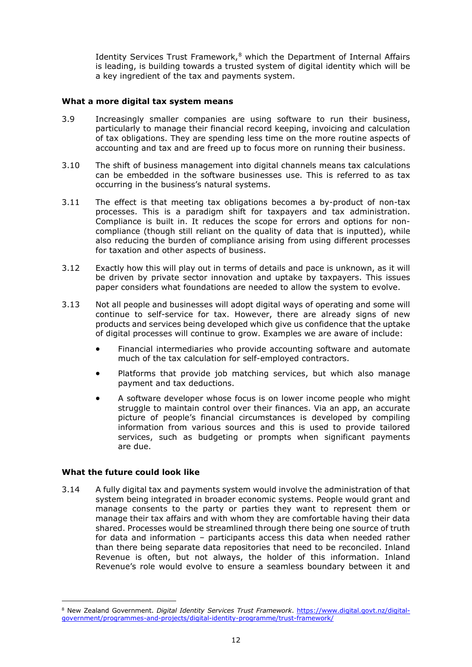Identity Services Trust Framework, $8$  which the Department of Internal Affairs is leading, is building towards a trusted system of digital identity which will be a key ingredient of the tax and payments system.

#### <span id="page-11-0"></span>**What a more digital tax system means**

- 3.9 Increasingly smaller companies are using software to run their business, particularly to manage their financial record keeping, invoicing and calculation of tax obligations. They are spending less time on the more routine aspects of accounting and tax and are freed up to focus more on running their business.
- 3.10 The shift of business management into digital channels means tax calculations can be embedded in the software businesses use. This is referred to as tax occurring in the business's natural systems.
- 3.11 The effect is that meeting tax obligations becomes a by-product of non-tax processes. This is a paradigm shift for taxpayers and tax administration. Compliance is built in. It reduces the scope for errors and options for noncompliance (though still reliant on the quality of data that is inputted), while also reducing the burden of compliance arising from using different processes for taxation and other aspects of business.
- 3.12 Exactly how this will play out in terms of details and pace is unknown, as it will be driven by private sector innovation and uptake by taxpayers. This issues paper considers what foundations are needed to allow the system to evolve.
- 3.13 Not all people and businesses will adopt digital ways of operating and some will continue to self-service for tax. However, there are already signs of new products and services being developed which give us confidence that the uptake of digital processes will continue to grow. Examples we are aware of include:
	- Financial intermediaries who provide accounting software and automate much of the tax calculation for self-employed contractors.
	- Platforms that provide job matching services, but which also manage payment and tax deductions.
	- A software developer whose focus is on lower income people who might struggle to maintain control over their finances. Via an app, an accurate picture of people's financial circumstances is developed by compiling information from various sources and this is used to provide tailored services, such as budgeting or prompts when significant payments are due.

#### <span id="page-11-1"></span>**What the future could look like**

3.14 A fully digital tax and payments system would involve the administration of that system being integrated in broader economic systems. People would grant and manage consents to the party or parties they want to represent them or manage their tax affairs and with whom they are comfortable having their data shared. Processes would be streamlined through there being one source of truth for data and information – participants access this data when needed rather than there being separate data repositories that need to be reconciled. Inland Revenue is often, but not always, the holder of this information. Inland Revenue's role would evolve to ensure a seamless boundary between it and

<span id="page-11-2"></span><sup>8</sup> New Zealand Government. *Digital Identity Services Trust Framework*. [https://www.digital.govt.nz/digital](https://www.digital.govt.nz/digital-government/programmes-and-projects/digital-identity-programme/trust-framework/)[government/programmes-and-projects/digital-identity-programme/trust-framework/](https://www.digital.govt.nz/digital-government/programmes-and-projects/digital-identity-programme/trust-framework/)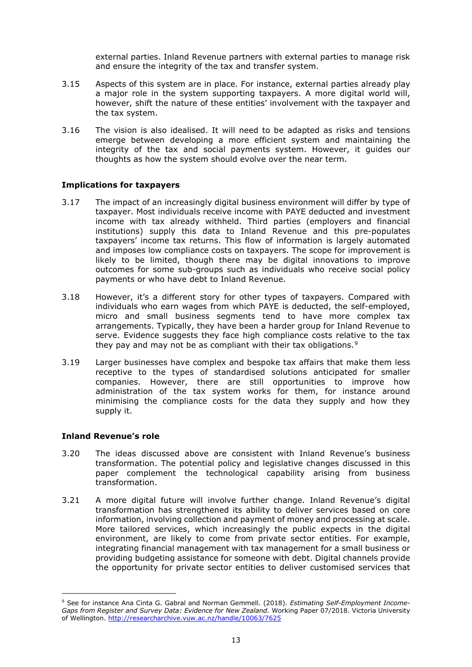external parties. Inland Revenue partners with external parties to manage risk and ensure the integrity of the tax and transfer system.

- 3.15 Aspects of this system are in place. For instance, external parties already play a major role in the system supporting taxpayers. A more digital world will, however, shift the nature of these entities' involvement with the taxpayer and the tax system.
- 3.16 The vision is also idealised. It will need to be adapted as risks and tensions emerge between developing a more efficient system and maintaining the integrity of the tax and social payments system. However, it guides our thoughts as how the system should evolve over the near term.

#### <span id="page-12-0"></span>**Implications for taxpayers**

- 3.17 The impact of an increasingly digital business environment will differ by type of taxpayer. Most individuals receive income with PAYE deducted and investment income with tax already withheld. Third parties (employers and financial institutions) supply this data to Inland Revenue and this pre-populates taxpayers' income tax returns. This flow of information is largely automated and imposes low compliance costs on taxpayers. The scope for improvement is likely to be limited, though there may be digital innovations to improve outcomes for some sub-groups such as individuals who receive social policy payments or who have debt to Inland Revenue.
- 3.18 However, it's a different story for other types of taxpayers. Compared with individuals who earn wages from which PAYE is deducted, the self-employed, micro and small business segments tend to have more complex tax arrangements. Typically, they have been a harder group for Inland Revenue to serve. Evidence suggests they face high compliance costs relative to the tax they pay and may not be as compliant with their tax obligations.<sup>[9](#page-12-2)</sup>
- 3.19 Larger businesses have complex and bespoke tax affairs that make them less receptive to the types of standardised solutions anticipated for smaller companies. However, there are still opportunities to improve how administration of the tax system works for them, for instance around minimising the compliance costs for the data they supply and how they supply it.

#### <span id="page-12-1"></span>**Inland Revenue's role**

- 3.20 The ideas discussed above are consistent with Inland Revenue's business transformation. The potential policy and legislative changes discussed in this paper complement the technological capability arising from business transformation.
- 3.21 A more digital future will involve further change. Inland Revenue's digital transformation has strengthened its ability to deliver services based on core information, involving collection and payment of money and processing at scale. More tailored services, which increasingly the public expects in the digital environment, are likely to come from private sector entities. For example, integrating financial management with tax management for a small business or providing budgeting assistance for someone with debt. Digital channels provide the opportunity for private sector entities to deliver customised services that

<span id="page-12-2"></span><sup>9</sup> See for instance Ana Cinta G. Gabral and Norman Gemmell. (2018). *Estimating Self-Employment Income-Gaps from Register and Survey Data: Evidence for New Zealand.* Working Paper 07/2018. Victoria University of Wellington.<http://researcharchive.vuw.ac.nz/handle/10063/7625>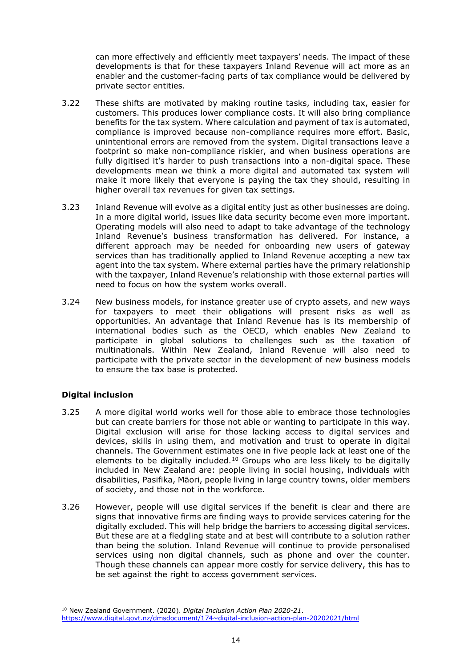can more effectively and efficiently meet taxpayers' needs. The impact of these developments is that for these taxpayers Inland Revenue will act more as an enabler and the customer-facing parts of tax compliance would be delivered by private sector entities.

- 3.22 These shifts are motivated by making routine tasks, including tax, easier for customers. This produces lower compliance costs. It will also bring compliance benefits for the tax system. Where calculation and payment of tax is automated, compliance is improved because non-compliance requires more effort. Basic, unintentional errors are removed from the system. Digital transactions leave a footprint so make non-compliance riskier, and when business operations are fully digitised it's harder to push transactions into a non-digital space. These developments mean we think a more digital and automated tax system will make it more likely that everyone is paying the tax they should, resulting in higher overall tax revenues for given tax settings.
- 3.23 Inland Revenue will evolve as a digital entity just as other businesses are doing. In a more digital world, issues like data security become even more important. Operating models will also need to adapt to take advantage of the technology Inland Revenue's business transformation has delivered. For instance, a different approach may be needed for onboarding new users of gateway services than has traditionally applied to Inland Revenue accepting a new tax agent into the tax system. Where external parties have the primary relationship with the taxpayer, Inland Revenue's relationship with those external parties will need to focus on how the system works overall.
- 3.24 New business models, for instance greater use of crypto assets, and new ways for taxpayers to meet their obligations will present risks as well as opportunities. An advantage that Inland Revenue has is its membership of international bodies such as the OECD, which enables New Zealand to participate in global solutions to challenges such as the taxation of multinationals. Within New Zealand, Inland Revenue will also need to participate with the private sector in the development of new business models to ensure the tax base is protected.

## <span id="page-13-0"></span>**Digital inclusion**

- 3.25 A more digital world works well for those able to embrace those technologies but can create barriers for those not able or wanting to participate in this way. Digital exclusion will arise for those lacking access to digital services and devices, skills in using them, and motivation and trust to operate in digital channels. The Government estimates one in five people lack at least one of the elements to be digitally included.<sup>[10](#page-13-1)</sup> Groups who are less likely to be digitally included in New Zealand are: people living in social housing, individuals with disabilities, Pasifika, Māori, people living in large country towns, older members of society, and those not in the workforce.
- 3.26 However, people will use digital services if the benefit is clear and there are signs that innovative firms are finding ways to provide services catering for the digitally excluded. This will help bridge the barriers to accessing digital services. But these are at a fledgling state and at best will contribute to a solution rather than being the solution. Inland Revenue will continue to provide personalised services using non digital channels, such as phone and over the counter. Though these channels can appear more costly for service delivery, this has to be set against the right to access government services.

<span id="page-13-1"></span><sup>10</sup> New Zealand Government. (2020). *Digital Inclusion Action Plan 2020-21*. [https://www.digital.govt.nz/dmsdocument/174~digital-inclusion-action-plan-20202021/html](https://www.digital.govt.nz/dmsdocument/174%7Edigital-inclusion-action-plan-20202021/html)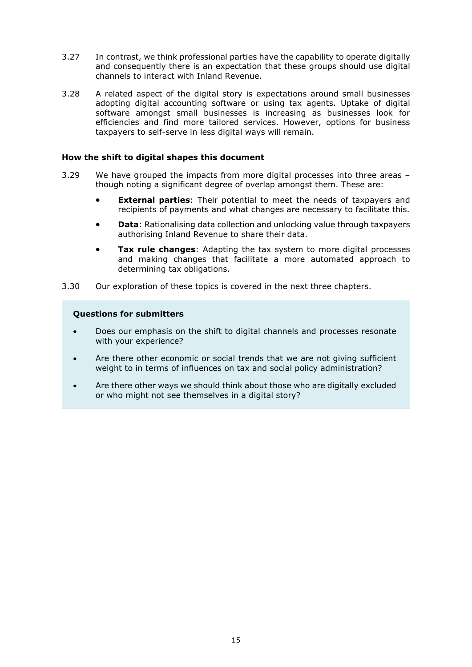- 3.27 In contrast, we think professional parties have the capability to operate digitally and consequently there is an expectation that these groups should use digital channels to interact with Inland Revenue.
- 3.28 A related aspect of the digital story is expectations around small businesses adopting digital accounting software or using tax agents. Uptake of digital software amongst small businesses is increasing as businesses look for efficiencies and find more tailored services. However, options for business taxpayers to self-serve in less digital ways will remain.

#### <span id="page-14-0"></span>**How the shift to digital shapes this document**

- 3.29 We have grouped the impacts from more digital processes into three areas though noting a significant degree of overlap amongst them. These are:
	- **External parties**: Their potential to meet the needs of taxpayers and recipients of payments and what changes are necessary to facilitate this.
	- **Data**: Rationalising data collection and unlocking value through taxpayers authorising Inland Revenue to share their data.
	- **Tax rule changes**: Adapting the tax system to more digital processes and making changes that facilitate a more automated approach to determining tax obligations.
- 3.30 Our exploration of these topics is covered in the next three chapters.

#### **Questions for submitters**

- Does our emphasis on the shift to digital channels and processes resonate with your experience?
- Are there other economic or social trends that we are not giving sufficient weight to in terms of influences on tax and social policy administration?
- Are there other ways we should think about those who are digitally excluded or who might not see themselves in a digital story?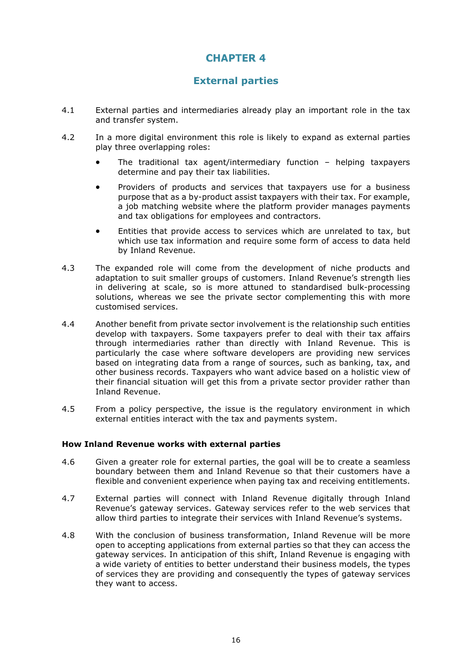## **External parties**

- <span id="page-15-0"></span>4.1 External parties and intermediaries already play an important role in the tax and transfer system.
- 4.2 In a more digital environment this role is likely to expand as external parties play three overlapping roles:
	- The traditional tax agent/intermediary function helping taxpayers determine and pay their tax liabilities.
	- Providers of products and services that taxpayers use for a business purpose that as a by-product assist taxpayers with their tax. For example, a job matching website where the platform provider manages payments and tax obligations for employees and contractors.
	- Entities that provide access to services which are unrelated to tax, but which use tax information and require some form of access to data held by Inland Revenue.
- 4.3 The expanded role will come from the development of niche products and adaptation to suit smaller groups of customers. Inland Revenue's strength lies in delivering at scale, so is more attuned to standardised bulk-processing solutions, whereas we see the private sector complementing this with more customised services.
- 4.4 Another benefit from private sector involvement is the relationship such entities develop with taxpayers. Some taxpayers prefer to deal with their tax affairs through intermediaries rather than directly with Inland Revenue. This is particularly the case where software developers are providing new services based on integrating data from a range of sources, such as banking, tax, and other business records. Taxpayers who want advice based on a holistic view of their financial situation will get this from a private sector provider rather than Inland Revenue.
- 4.5 From a policy perspective, the issue is the regulatory environment in which external entities interact with the tax and payments system.

#### <span id="page-15-1"></span>**How Inland Revenue works with external parties**

- 4.6 Given a greater role for external parties, the goal will be to create a seamless boundary between them and Inland Revenue so that their customers have a flexible and convenient experience when paying tax and receiving entitlements.
- 4.7 External parties will connect with Inland Revenue digitally through Inland Revenue's gateway services. Gateway services refer to the web services that allow third parties to integrate their services with Inland Revenue's systems.
- 4.8 With the conclusion of business transformation, Inland Revenue will be more open to accepting applications from external parties so that they can access the gateway services. In anticipation of this shift, Inland Revenue is engaging with a wide variety of entities to better understand their business models, the types of services they are providing and consequently the types of gateway services they want to access.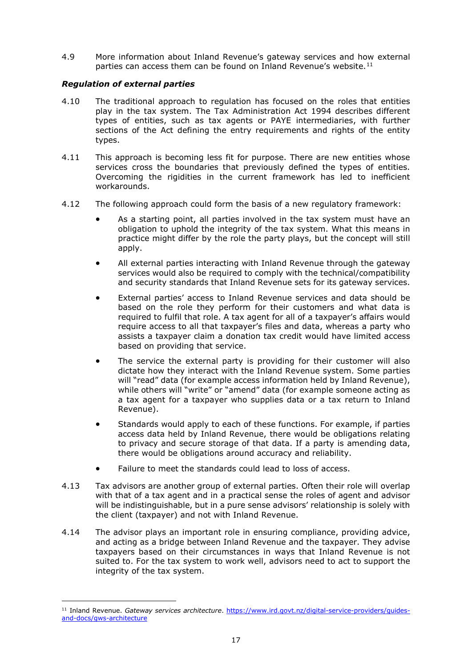4.9 More information about Inland Revenue's gateway services and how external parties can access them can be found on Inland Revenue's website.<sup>[11](#page-16-0)</sup>

#### *Regulation of external parties*

- 4.10 The traditional approach to regulation has focused on the roles that entities play in the tax system. The Tax Administration Act 1994 describes different types of entities, such as tax agents or PAYE intermediaries, with further sections of the Act defining the entry requirements and rights of the entity types.
- 4.11 This approach is becoming less fit for purpose. There are new entities whose services cross the boundaries that previously defined the types of entities. Overcoming the rigidities in the current framework has led to inefficient workarounds.
- 4.12 The following approach could form the basis of a new regulatory framework:
	- As a starting point, all parties involved in the tax system must have an obligation to uphold the integrity of the tax system. What this means in practice might differ by the role the party plays, but the concept will still apply.
	- All external parties interacting with Inland Revenue through the gateway services would also be required to comply with the technical/compatibility and security standards that Inland Revenue sets for its gateway services.
	- External parties' access to Inland Revenue services and data should be based on the role they perform for their customers and what data is required to fulfil that role. A tax agent for all of a taxpayer's affairs would require access to all that taxpayer's files and data, whereas a party who assists a taxpayer claim a donation tax credit would have limited access based on providing that service.
	- The service the external party is providing for their customer will also dictate how they interact with the Inland Revenue system. Some parties will "read" data (for example access information held by Inland Revenue), while others will "write" or "amend" data (for example someone acting as a tax agent for a taxpayer who supplies data or a tax return to Inland Revenue).
	- Standards would apply to each of these functions. For example, if parties access data held by Inland Revenue, there would be obligations relating to privacy and secure storage of that data. If a party is amending data, there would be obligations around accuracy and reliability.
	- Failure to meet the standards could lead to loss of access.
- 4.13 Tax advisors are another group of external parties. Often their role will overlap with that of a tax agent and in a practical sense the roles of agent and advisor will be indistinguishable, but in a pure sense advisors' relationship is solely with the client (taxpayer) and not with Inland Revenue.
- 4.14 The advisor plays an important role in ensuring compliance, providing advice, and acting as a bridge between Inland Revenue and the taxpayer. They advise taxpayers based on their circumstances in ways that Inland Revenue is not suited to. For the tax system to work well, advisors need to act to support the integrity of the tax system.

<span id="page-16-0"></span><sup>11</sup> Inland Revenue. *Gateway services architecture*. [https://www.ird.govt.nz/digital-service-providers/guides](https://www.ird.govt.nz/digital-service-providers/guides-and-docs/gws-architecture)[and-docs/gws-architecture](https://www.ird.govt.nz/digital-service-providers/guides-and-docs/gws-architecture)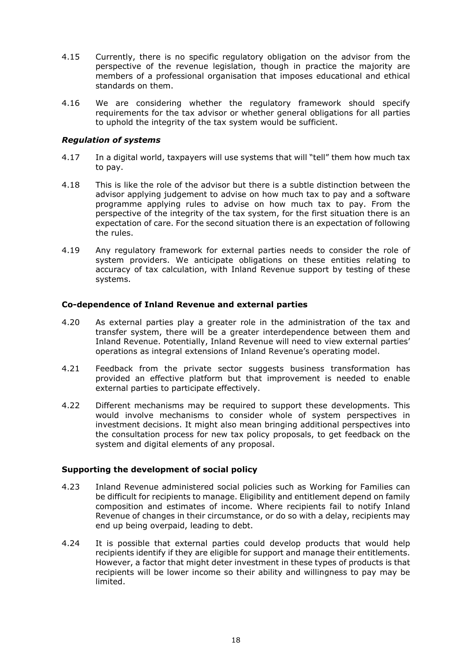- 4.15 Currently, there is no specific regulatory obligation on the advisor from the perspective of the revenue legislation, though in practice the majority are members of a professional organisation that imposes educational and ethical standards on them.
- 4.16 We are considering whether the regulatory framework should specify requirements for the tax advisor or whether general obligations for all parties to uphold the integrity of the tax system would be sufficient.

#### *Regulation of systems*

- 4.17 In a digital world, taxpayers will use systems that will "tell" them how much tax to pay.
- 4.18 This is like the role of the advisor but there is a subtle distinction between the advisor applying judgement to advise on how much tax to pay and a software programme applying rules to advise on how much tax to pay. From the perspective of the integrity of the tax system, for the first situation there is an expectation of care. For the second situation there is an expectation of following the rules.
- 4.19 Any regulatory framework for external parties needs to consider the role of system providers. We anticipate obligations on these entities relating to accuracy of tax calculation, with Inland Revenue support by testing of these systems.

#### <span id="page-17-0"></span>**Co-dependence of Inland Revenue and external parties**

- 4.20 As external parties play a greater role in the administration of the tax and transfer system, there will be a greater interdependence between them and Inland Revenue. Potentially, Inland Revenue will need to view external parties' operations as integral extensions of Inland Revenue's operating model.
- 4.21 Feedback from the private sector suggests business transformation has provided an effective platform but that improvement is needed to enable external parties to participate effectively.
- 4.22 Different mechanisms may be required to support these developments. This would involve mechanisms to consider whole of system perspectives in investment decisions. It might also mean bringing additional perspectives into the consultation process for new tax policy proposals, to get feedback on the system and digital elements of any proposal.

#### <span id="page-17-1"></span>**Supporting the development of social policy**

- 4.23 Inland Revenue administered social policies such as Working for Families can be difficult for recipients to manage. Eligibility and entitlement depend on family composition and estimates of income. Where recipients fail to notify Inland Revenue of changes in their circumstance, or do so with a delay, recipients may end up being overpaid, leading to debt.
- 4.24 It is possible that external parties could develop products that would help recipients identify if they are eligible for support and manage their entitlements. However, a factor that might deter investment in these types of products is that recipients will be lower income so their ability and willingness to pay may be limited.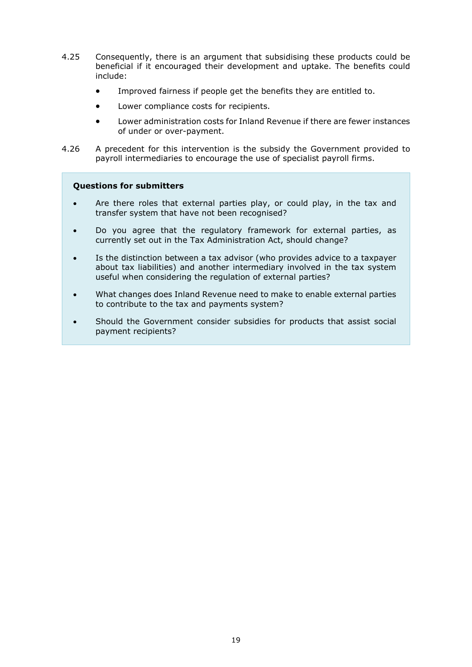- 4.25 Consequently, there is an argument that subsidising these products could be beneficial if it encouraged their development and uptake. The benefits could include:
	- Improved fairness if people get the benefits they are entitled to.
	- Lower compliance costs for recipients.
	- Lower administration costs for Inland Revenue if there are fewer instances of under or over-payment.
- 4.26 A precedent for this intervention is the subsidy the Government provided to payroll intermediaries to encourage the use of specialist payroll firms.

#### **Questions for submitters**

- Are there roles that external parties play, or could play, in the tax and transfer system that have not been recognised?
- Do you agree that the regulatory framework for external parties, as currently set out in the Tax Administration Act, should change?
- Is the distinction between a tax advisor (who provides advice to a taxpayer about tax liabilities) and another intermediary involved in the tax system useful when considering the regulation of external parties?
- What changes does Inland Revenue need to make to enable external parties to contribute to the tax and payments system?
- Should the Government consider subsidies for products that assist social payment recipients?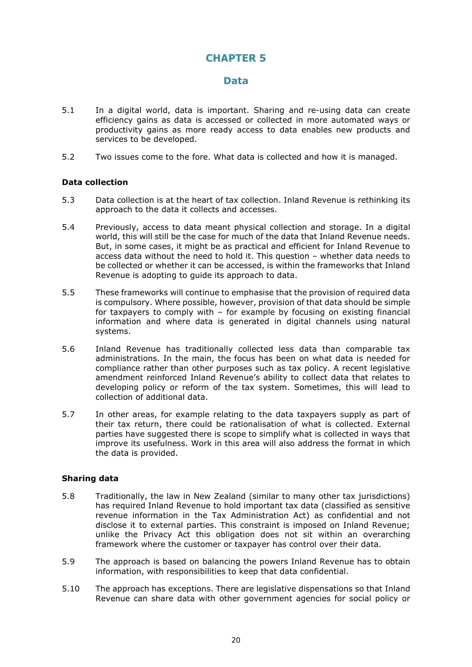## **Data**

- <span id="page-19-0"></span>5.1 In a digital world, data is important. Sharing and re-using data can create efficiency gains as data is accessed or collected in more automated ways or productivity gains as more ready access to data enables new products and services to be developed.
- <span id="page-19-1"></span>5.2 Two issues come to the fore. What data is collected and how it is managed.

#### **Data collection**

- 5.3 Data collection is at the heart of tax collection. Inland Revenue is rethinking its approach to the data it collects and accesses.
- 5.4 Previously, access to data meant physical collection and storage. In a digital world, this will still be the case for much of the data that Inland Revenue needs. But, in some cases, it might be as practical and efficient for Inland Revenue to access data without the need to hold it. This question – whether data needs to be collected or whether it can be accessed, is within the frameworks that Inland Revenue is adopting to guide its approach to data.
- 5.5 These frameworks will continue to emphasise that the provision of required data is compulsory. Where possible, however, provision of that data should be simple for taxpayers to comply with – for example by focusing on existing financial information and where data is generated in digital channels using natural systems.
- 5.6 Inland Revenue has traditionally collected less data than comparable tax administrations. In the main, the focus has been on what data is needed for compliance rather than other purposes such as tax policy. A recent legislative amendment reinforced Inland Revenue's ability to collect data that relates to developing policy or reform of the tax system. Sometimes, this will lead to collection of additional data.
- 5.7 In other areas, for example relating to the data taxpayers supply as part of their tax return, there could be rationalisation of what is collected. External parties have suggested there is scope to simplify what is collected in ways that improve its usefulness. Work in this area will also address the format in which the data is provided.

#### <span id="page-19-2"></span>**Sharing data**

- 5.8 Traditionally, the law in New Zealand (similar to many other tax jurisdictions) has required Inland Revenue to hold important tax data (classified as sensitive revenue information in the Tax Administration Act) as confidential and not disclose it to external parties. This constraint is imposed on Inland Revenue; unlike the Privacy Act this obligation does not sit within an overarching framework where the customer or taxpayer has control over their data.
- 5.9 The approach is based on balancing the powers Inland Revenue has to obtain information, with responsibilities to keep that data confidential.
- 5.10 The approach has exceptions. There are legislative dispensations so that Inland Revenue can share data with other government agencies for social policy or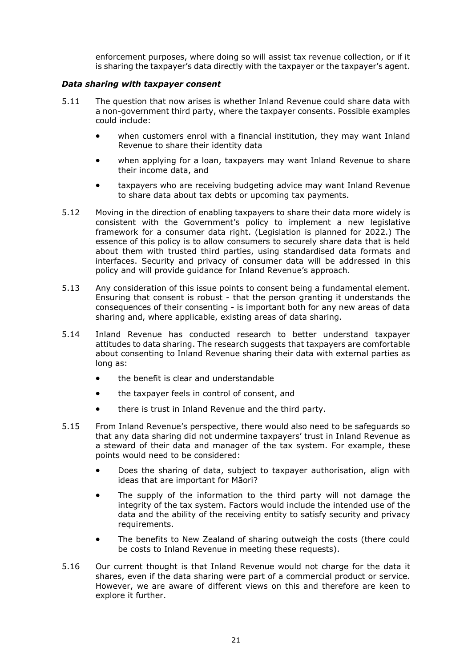enforcement purposes, where doing so will assist tax revenue collection, or if it is sharing the taxpayer's data directly with the taxpayer or the taxpayer's agent.

#### *Data sharing with taxpayer consent*

- 5.11 The question that now arises is whether Inland Revenue could share data with a non-government third party, where the taxpayer consents. Possible examples could include:
	- when customers enrol with a financial institution, they may want Inland Revenue to share their identity data
	- when applying for a loan, taxpayers may want Inland Revenue to share their income data, and
	- taxpayers who are receiving budgeting advice may want Inland Revenue to share data about tax debts or upcoming tax payments.
- 5.12 Moving in the direction of enabling taxpayers to share their data more widely is consistent with the Government's policy to implement a new legislative framework for a consumer data right. (Legislation is planned for 2022.) The essence of this policy is to allow consumers to securely share data that is held about them with trusted third parties, using standardised data formats and interfaces. Security and privacy of consumer data will be addressed in this policy and will provide guidance for Inland Revenue's approach.
- 5.13 Any consideration of this issue points to consent being a fundamental element. Ensuring that consent is robust - that the person granting it understands the consequences of their consenting - is important both for any new areas of data sharing and, where applicable, existing areas of data sharing.
- 5.14 Inland Revenue has conducted research to better understand taxpayer attitudes to data sharing. The research suggests that taxpayers are comfortable about consenting to Inland Revenue sharing their data with external parties as long as:
	- the benefit is clear and understandable
	- the taxpayer feels in control of consent, and
	- there is trust in Inland Revenue and the third party.
- 5.15 From Inland Revenue's perspective, there would also need to be safeguards so that any data sharing did not undermine taxpayers' trust in Inland Revenue as a steward of their data and manager of the tax system. For example, these points would need to be considered:
	- Does the sharing of data, subject to taxpayer authorisation, align with ideas that are important for Māori?
	- The supply of the information to the third party will not damage the integrity of the tax system. Factors would include the intended use of the data and the ability of the receiving entity to satisfy security and privacy requirements.
	- The benefits to New Zealand of sharing outweigh the costs (there could be costs to Inland Revenue in meeting these requests).
- 5.16 Our current thought is that Inland Revenue would not charge for the data it shares, even if the data sharing were part of a commercial product or service. However, we are aware of different views on this and therefore are keen to explore it further.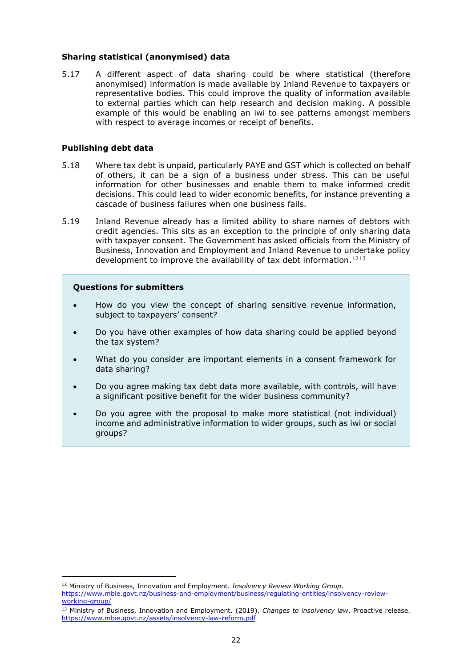#### <span id="page-21-0"></span>**Sharing statistical (anonymised) data**

5.17 A different aspect of data sharing could be where statistical (therefore anonymised) information is made available by Inland Revenue to taxpayers or representative bodies. This could improve the quality of information available to external parties which can help research and decision making. A possible example of this would be enabling an iwi to see patterns amongst members with respect to average incomes or receipt of benefits.

#### <span id="page-21-1"></span>**Publishing debt data**

- 5.18 Where tax debt is unpaid, particularly PAYE and GST which is collected on behalf of others, it can be a sign of a business under stress. This can be useful information for other businesses and enable them to make informed credit decisions. This could lead to wider economic benefits, for instance preventing a cascade of business failures when one business fails.
- 5.19 Inland Revenue already has a limited ability to share names of debtors with credit agencies. This sits as an exception to the principle of only sharing data with taxpayer consent. The Government has asked officials from the Ministry of Business, Innovation and Employment and Inland Revenue to undertake policy development to improve the availability of tax debt information.<sup>[12](#page-21-2)[13](#page-21-3)</sup>

#### **Questions for submitters**

- How do you view the concept of sharing sensitive revenue information, subject to taxpayers' consent?
- Do you have other examples of how data sharing could be applied beyond the tax system?
- What do you consider are important elements in a consent framework for data sharing?
- Do you agree making tax debt data more available, with controls, will have a significant positive benefit for the wider business community?
- Do you agree with the proposal to make more statistical (not individual) income and administrative information to wider groups, such as iwi or social groups?

<span id="page-21-2"></span><sup>12</sup> Ministry of Business, Innovation and Employment. *Insolvency Review Working Group*. [https://www.mbie.govt.nz/business-and-employment/business/regulating-entities/insolvency-review](https://www.mbie.govt.nz/business-and-employment/business/regulating-entities/insolvency-review-working-group/)[working-group/](https://www.mbie.govt.nz/business-and-employment/business/regulating-entities/insolvency-review-working-group/)

<span id="page-21-3"></span><sup>13</sup> Ministry of Business, Innovation and Employment. (2019). *Changes to insolvency law*. Proactive release. <https://www.mbie.govt.nz/assets/insolvency-law-reform.pdf>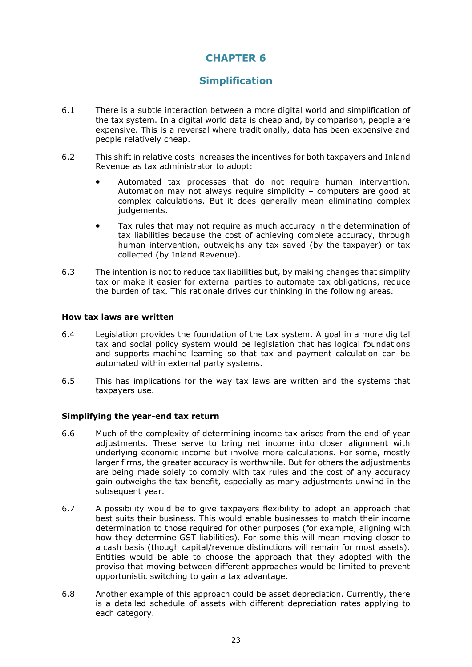# **Simplification**

- <span id="page-22-0"></span>6.1 There is a subtle interaction between a more digital world and simplification of the tax system. In a digital world data is cheap and, by comparison, people are expensive. This is a reversal where traditionally, data has been expensive and people relatively cheap.
- 6.2 This shift in relative costs increases the incentives for both taxpayers and Inland Revenue as tax administrator to adopt:
	- Automated tax processes that do not require human intervention. Automation may not always require simplicity – computers are good at complex calculations. But it does generally mean eliminating complex judgements.
	- Tax rules that may not require as much accuracy in the determination of tax liabilities because the cost of achieving complete accuracy, through human intervention, outweighs any tax saved (by the taxpayer) or tax collected (by Inland Revenue).
- 6.3 The intention is not to reduce tax liabilities but, by making changes that simplify tax or make it easier for external parties to automate tax obligations, reduce the burden of tax. This rationale drives our thinking in the following areas.

#### <span id="page-22-1"></span>**How tax laws are written**

- 6.4 Legislation provides the foundation of the tax system. A goal in a more digital tax and social policy system would be legislation that has logical foundations and supports machine learning so that tax and payment calculation can be automated within external party systems.
- 6.5 This has implications for the way tax laws are written and the systems that taxpayers use.

## <span id="page-22-2"></span>**Simplifying the year-end tax return**

- 6.6 Much of the complexity of determining income tax arises from the end of year adjustments. These serve to bring net income into closer alignment with underlying economic income but involve more calculations. For some, mostly larger firms, the greater accuracy is worthwhile. But for others the adjustments are being made solely to comply with tax rules and the cost of any accuracy gain outweighs the tax benefit, especially as many adjustments unwind in the subsequent year.
- 6.7 A possibility would be to give taxpayers flexibility to adopt an approach that best suits their business. This would enable businesses to match their income determination to those required for other purposes (for example, aligning with how they determine GST liabilities). For some this will mean moving closer to a cash basis (though capital/revenue distinctions will remain for most assets). Entities would be able to choose the approach that they adopted with the proviso that moving between different approaches would be limited to prevent opportunistic switching to gain a tax advantage.
- 6.8 Another example of this approach could be asset depreciation. Currently, there is a detailed schedule of assets with different depreciation rates applying to each category.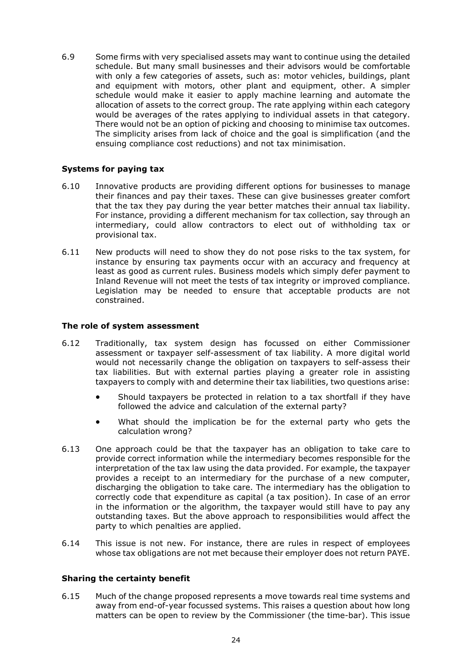6.9 Some firms with very specialised assets may want to continue using the detailed schedule. But many small businesses and their advisors would be comfortable with only a few categories of assets, such as: motor vehicles, buildings, plant and equipment with motors, other plant and equipment, other. A simpler schedule would make it easier to apply machine learning and automate the allocation of assets to the correct group. The rate applying within each category would be averages of the rates applying to individual assets in that category. There would not be an option of picking and choosing to minimise tax outcomes. The simplicity arises from lack of choice and the goal is simplification (and the ensuing compliance cost reductions) and not tax minimisation.

#### <span id="page-23-0"></span>**Systems for paying tax**

- 6.10 Innovative products are providing different options for businesses to manage their finances and pay their taxes. These can give businesses greater comfort that the tax they pay during the year better matches their annual tax liability. For instance, providing a different mechanism for tax collection, say through an intermediary, could allow contractors to elect out of withholding tax or provisional tax.
- 6.11 New products will need to show they do not pose risks to the tax system, for instance by ensuring tax payments occur with an accuracy and frequency at least as good as current rules. Business models which simply defer payment to Inland Revenue will not meet the tests of tax integrity or improved compliance. Legislation may be needed to ensure that acceptable products are not constrained.

#### <span id="page-23-1"></span>**The role of system assessment**

- 6.12 Traditionally, tax system design has focussed on either Commissioner assessment or taxpayer self-assessment of tax liability. A more digital world would not necessarily change the obligation on taxpayers to self-assess their tax liabilities. But with external parties playing a greater role in assisting taxpayers to comply with and determine their tax liabilities, two questions arise:
	- Should taxpayers be protected in relation to a tax shortfall if they have followed the advice and calculation of the external party?
	- What should the implication be for the external party who gets the calculation wrong?
- 6.13 One approach could be that the taxpayer has an obligation to take care to provide correct information while the intermediary becomes responsible for the interpretation of the tax law using the data provided. For example, the taxpayer provides a receipt to an intermediary for the purchase of a new computer, discharging the obligation to take care. The intermediary has the obligation to correctly code that expenditure as capital (a tax position). In case of an error in the information or the algorithm, the taxpayer would still have to pay any outstanding taxes. But the above approach to responsibilities would affect the party to which penalties are applied.
- 6.14 This issue is not new. For instance, there are rules in respect of employees whose tax obligations are not met because their employer does not return PAYE.

#### <span id="page-23-2"></span>**Sharing the certainty benefit**

6.15 Much of the change proposed represents a move towards real time systems and away from end-of-year focussed systems. This raises a question about how long matters can be open to review by the Commissioner (the time-bar). This issue